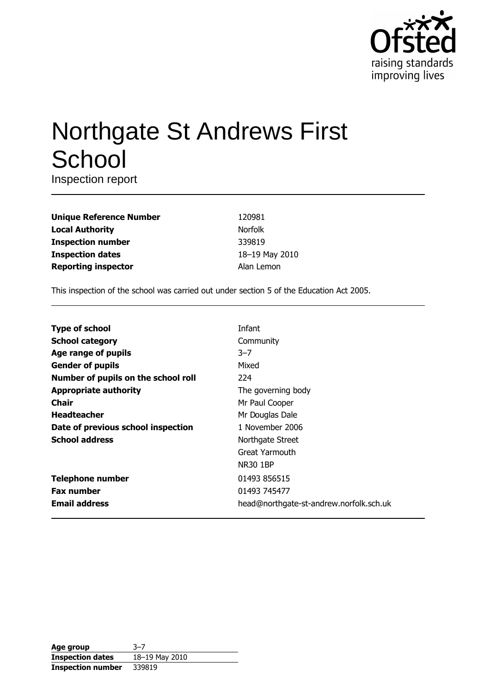

# **Northgate St Andrews First** School

Inspection report

| <b>Unique Reference Number</b> |
|--------------------------------|
| <b>Local Authority</b>         |
| <b>Inspection number</b>       |
| <b>Inspection dates</b>        |
| <b>Reporting inspector</b>     |

120981 Norfolk 339819 18-19 May 2010 Alan Lemon

This inspection of the school was carried out under section 5 of the Education Act 2005.

| <b>Type of school</b>               | Infant                                  |
|-------------------------------------|-----------------------------------------|
| <b>School category</b>              | Community                               |
| Age range of pupils                 | $3 - 7$                                 |
| <b>Gender of pupils</b>             | Mixed                                   |
| Number of pupils on the school roll | 224                                     |
| <b>Appropriate authority</b>        | The governing body                      |
| Chair                               | Mr Paul Cooper                          |
| <b>Headteacher</b>                  | Mr Douglas Dale                         |
| Date of previous school inspection  | 1 November 2006                         |
| <b>School address</b>               | Northgate Street                        |
|                                     | Great Yarmouth                          |
|                                     | <b>NR30 1BP</b>                         |
| <b>Telephone number</b>             | 01493 856515                            |
| <b>Fax number</b>                   | 01493 745477                            |
| <b>Email address</b>                | head@northgate-st-andrew.norfolk.sch.uk |

| Age group                | $3 - 7$        |
|--------------------------|----------------|
| <b>Inspection dates</b>  | 18-19 May 2010 |
| <b>Inspection number</b> | 339819         |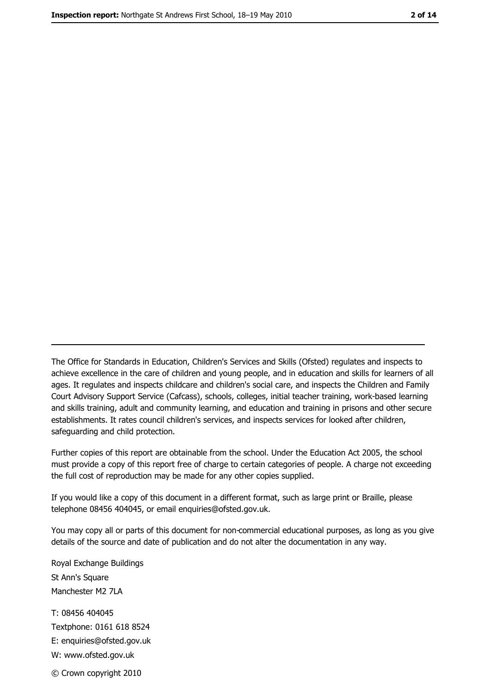The Office for Standards in Education, Children's Services and Skills (Ofsted) regulates and inspects to achieve excellence in the care of children and young people, and in education and skills for learners of all ages. It regulates and inspects childcare and children's social care, and inspects the Children and Family Court Advisory Support Service (Cafcass), schools, colleges, initial teacher training, work-based learning and skills training, adult and community learning, and education and training in prisons and other secure establishments. It rates council children's services, and inspects services for looked after children, safequarding and child protection.

Further copies of this report are obtainable from the school. Under the Education Act 2005, the school must provide a copy of this report free of charge to certain categories of people. A charge not exceeding the full cost of reproduction may be made for any other copies supplied.

If you would like a copy of this document in a different format, such as large print or Braille, please telephone 08456 404045, or email enquiries@ofsted.gov.uk.

You may copy all or parts of this document for non-commercial educational purposes, as long as you give details of the source and date of publication and do not alter the documentation in any way.

Royal Exchange Buildings St Ann's Square Manchester M2 7LA T: 08456 404045 Textphone: 0161 618 8524 E: enquiries@ofsted.gov.uk W: www.ofsted.gov.uk © Crown copyright 2010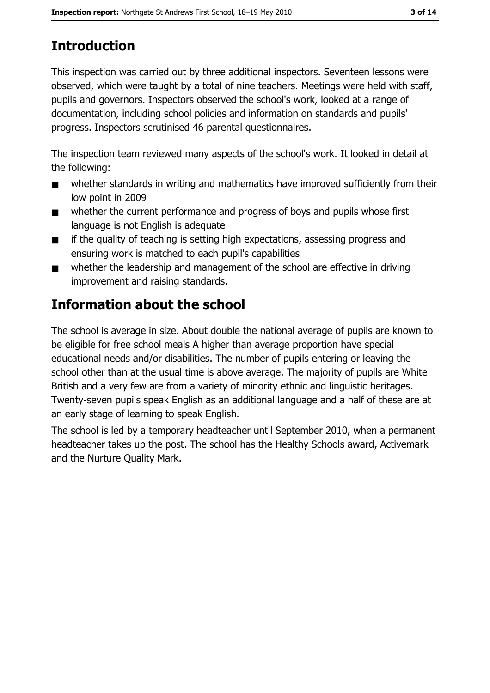# **Introduction**

This inspection was carried out by three additional inspectors. Seventeen lessons were observed, which were taught by a total of nine teachers. Meetings were held with staff, pupils and governors. Inspectors observed the school's work, looked at a range of documentation, including school policies and information on standards and pupils' progress. Inspectors scrutinised 46 parental questionnaires.

The inspection team reviewed many aspects of the school's work. It looked in detail at the following:

- whether standards in writing and mathematics have improved sufficiently from their  $\blacksquare$ low point in 2009
- whether the current performance and progress of boys and pupils whose first  $\blacksquare$ language is not English is adequate
- if the quality of teaching is setting high expectations, assessing progress and  $\blacksquare$ ensuring work is matched to each pupil's capabilities
- whether the leadership and management of the school are effective in driving  $\blacksquare$ improvement and raising standards.

# Information about the school

The school is average in size. About double the national average of pupils are known to be eligible for free school meals A higher than average proportion have special educational needs and/or disabilities. The number of pupils entering or leaving the school other than at the usual time is above average. The majority of pupils are White British and a very few are from a variety of minority ethnic and linguistic heritages. Twenty-seven pupils speak English as an additional language and a half of these are at an early stage of learning to speak English.

The school is led by a temporary headteacher until September 2010, when a permanent headteacher takes up the post. The school has the Healthy Schools award, Activemark and the Nurture Quality Mark.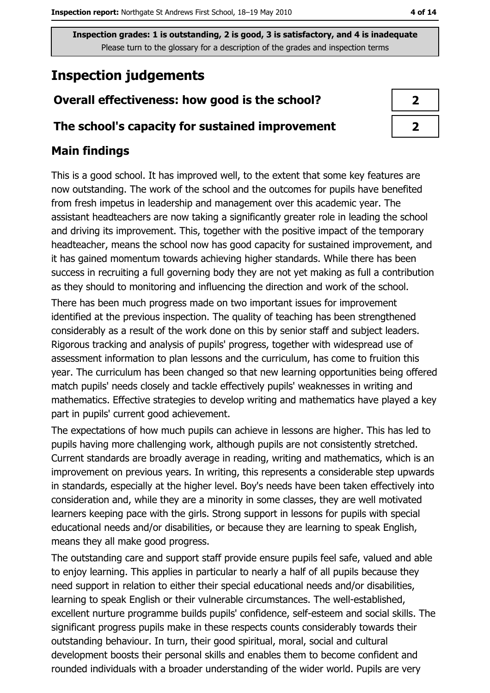# **Inspection judgements**

# Overall effectiveness: how good is the school?

## The school's capacity for sustained improvement

## **Main findings**

This is a good school. It has improved well, to the extent that some key features are now outstanding. The work of the school and the outcomes for pupils have benefited from fresh impetus in leadership and management over this academic year. The assistant headteachers are now taking a significantly greater role in leading the school and driving its improvement. This, together with the positive impact of the temporary headteacher, means the school now has good capacity for sustained improvement, and it has gained momentum towards achieving higher standards. While there has been success in recruiting a full governing body they are not yet making as full a contribution as they should to monitoring and influencing the direction and work of the school.

There has been much progress made on two important issues for improvement identified at the previous inspection. The quality of teaching has been strengthened considerably as a result of the work done on this by senior staff and subject leaders. Rigorous tracking and analysis of pupils' progress, together with widespread use of assessment information to plan lessons and the curriculum, has come to fruition this year. The curriculum has been changed so that new learning opportunities being offered match pupils' needs closely and tackle effectively pupils' weaknesses in writing and mathematics. Effective strategies to develop writing and mathematics have played a key part in pupils' current good achievement.

The expectations of how much pupils can achieve in lessons are higher. This has led to pupils having more challenging work, although pupils are not consistently stretched. Current standards are broadly average in reading, writing and mathematics, which is an improvement on previous years. In writing, this represents a considerable step upwards in standards, especially at the higher level. Boy's needs have been taken effectively into consideration and, while they are a minority in some classes, they are well motivated learners keeping pace with the girls. Strong support in lessons for pupils with special educational needs and/or disabilities, or because they are learning to speak English, means they all make good progress.

The outstanding care and support staff provide ensure pupils feel safe, valued and able to enjoy learning. This applies in particular to nearly a half of all pupils because they need support in relation to either their special educational needs and/or disabilities, learning to speak English or their vulnerable circumstances. The well-established, excellent nurture programme builds pupils' confidence, self-esteem and social skills. The significant progress pupils make in these respects counts considerably towards their outstanding behaviour. In turn, their good spiritual, moral, social and cultural development boosts their personal skills and enables them to become confident and rounded individuals with a broader understanding of the wider world. Pupils are very

| ↗ |
|---|
| Z |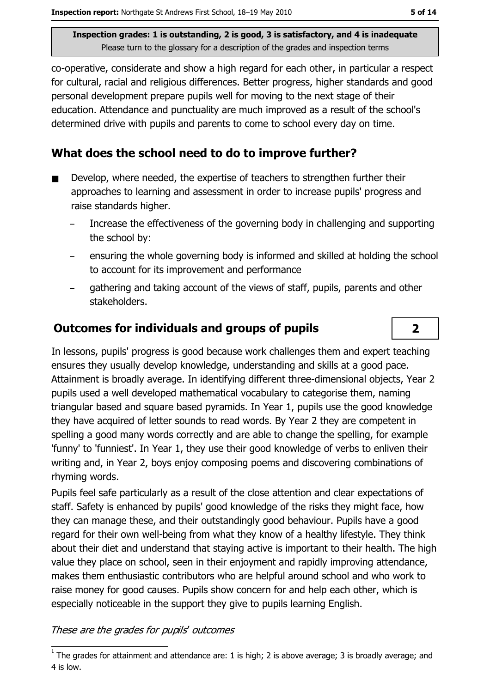co-operative, considerate and show a high regard for each other, in particular a respect for cultural, racial and religious differences. Better progress, higher standards and good personal development prepare pupils well for moving to the next stage of their education. Attendance and punctuality are much improved as a result of the school's determined drive with pupils and parents to come to school every day on time.

## What does the school need to do to improve further?

- Develop, where needed, the expertise of teachers to strengthen further their approaches to learning and assessment in order to increase pupils' progress and raise standards higher.
	- Increase the effectiveness of the governing body in challenging and supporting the school by:
	- ensuring the whole governing body is informed and skilled at holding the school to account for its improvement and performance
	- gathering and taking account of the views of staff, pupils, parents and other stakeholders.

## **Outcomes for individuals and groups of pupils**

In lessons, pupils' progress is good because work challenges them and expert teaching ensures they usually develop knowledge, understanding and skills at a good pace. Attainment is broadly average. In identifying different three-dimensional objects, Year 2 pupils used a well developed mathematical vocabulary to categorise them, naming triangular based and square based pyramids. In Year 1, pupils use the good knowledge they have acquired of letter sounds to read words. By Year 2 they are competent in spelling a good many words correctly and are able to change the spelling, for example 'funny' to 'funniest'. In Year 1, they use their good knowledge of verbs to enliven their writing and, in Year 2, boys enjoy composing poems and discovering combinations of rhyming words.

Pupils feel safe particularly as a result of the close attention and clear expectations of staff. Safety is enhanced by pupils' good knowledge of the risks they might face, how they can manage these, and their outstandingly good behaviour. Pupils have a good regard for their own well-being from what they know of a healthy lifestyle. They think about their diet and understand that staying active is important to their health. The high value they place on school, seen in their enjoyment and rapidly improving attendance, makes them enthusiastic contributors who are helpful around school and who work to raise money for good causes. Pupils show concern for and help each other, which is especially noticeable in the support they give to pupils learning English.

#### These are the grades for pupils' outcomes

 $\overline{2}$ 

 $1$  The arades for attainment and attendance are: 1 is high; 2 is above average; 3 is broadly average; and 4 is low.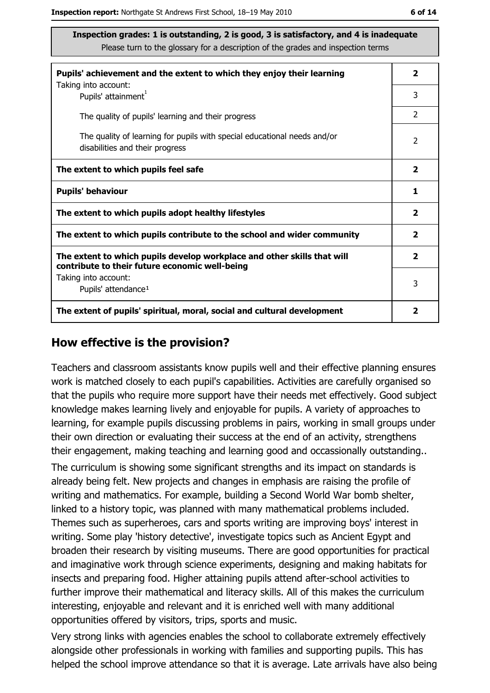| Pupils' achievement and the extent to which they enjoy their learning                                                     |   |  |  |  |
|---------------------------------------------------------------------------------------------------------------------------|---|--|--|--|
| Taking into account:<br>Pupils' attainment <sup>1</sup>                                                                   | 3 |  |  |  |
| The quality of pupils' learning and their progress                                                                        | 2 |  |  |  |
| The quality of learning for pupils with special educational needs and/or<br>disabilities and their progress               |   |  |  |  |
| The extent to which pupils feel safe                                                                                      |   |  |  |  |
| <b>Pupils' behaviour</b>                                                                                                  |   |  |  |  |
| The extent to which pupils adopt healthy lifestyles                                                                       |   |  |  |  |
| The extent to which pupils contribute to the school and wider community                                                   |   |  |  |  |
| The extent to which pupils develop workplace and other skills that will<br>contribute to their future economic well-being |   |  |  |  |
| Taking into account:<br>Pupils' attendance <sup>1</sup>                                                                   |   |  |  |  |
| The extent of pupils' spiritual, moral, social and cultural development                                                   | 2 |  |  |  |

#### How effective is the provision?

Teachers and classroom assistants know pupils well and their effective planning ensures work is matched closely to each pupil's capabilities. Activities are carefully organised so that the pupils who require more support have their needs met effectively. Good subject knowledge makes learning lively and enjoyable for pupils. A variety of approaches to learning, for example pupils discussing problems in pairs, working in small groups under their own direction or evaluating their success at the end of an activity, strengthens their engagement, making teaching and learning good and occassionally outstanding..

The curriculum is showing some significant strengths and its impact on standards is already being felt. New projects and changes in emphasis are raising the profile of writing and mathematics. For example, building a Second World War bomb shelter, linked to a history topic, was planned with many mathematical problems included. Themes such as superheroes, cars and sports writing are improving boys' interest in writing. Some play 'history detective', investigate topics such as Ancient Egypt and broaden their research by visiting museums. There are good opportunities for practical and imaginative work through science experiments, designing and making habitats for insects and preparing food. Higher attaining pupils attend after-school activities to further improve their mathematical and literacy skills. All of this makes the curriculum interesting, enjoyable and relevant and it is enriched well with many additional opportunities offered by visitors, trips, sports and music.

Very strong links with agencies enables the school to collaborate extremely effectively alongside other professionals in working with families and supporting pupils. This has helped the school improve attendance so that it is average. Late arrivals have also being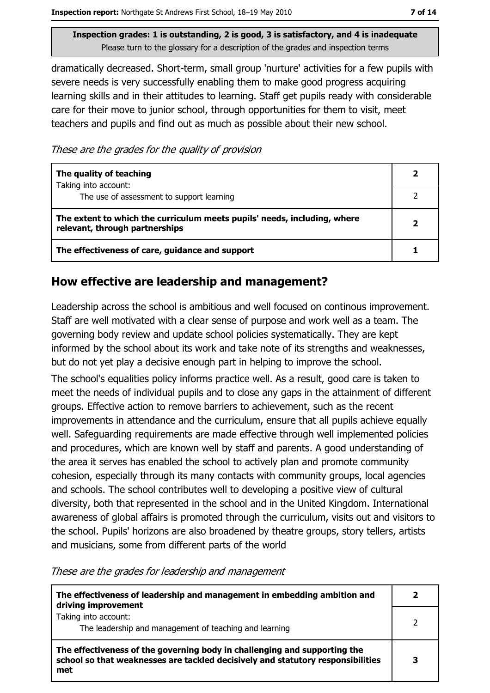dramatically decreased. Short-term, small group 'nurture' activities for a few pupils with severe needs is very successfully enabling them to make good progress acquiring learning skills and in their attitudes to learning. Staff get pupils ready with considerable care for their move to junior school, through opportunities for them to visit, meet teachers and pupils and find out as much as possible about their new school.

These are the grades for the quality of provision

| The quality of teaching                                                                                    |  |
|------------------------------------------------------------------------------------------------------------|--|
| Taking into account:<br>The use of assessment to support learning                                          |  |
| The extent to which the curriculum meets pupils' needs, including, where<br>relevant, through partnerships |  |
| The effectiveness of care, guidance and support                                                            |  |

#### How effective are leadership and management?

Leadership across the school is ambitious and well focused on continous improvement. Staff are well motivated with a clear sense of purpose and work well as a team. The governing body review and update school policies systematically. They are kept informed by the school about its work and take note of its strengths and weaknesses, but do not yet play a decisive enough part in helping to improve the school. The school's equalities policy informs practice well. As a result, good care is taken to meet the needs of individual pupils and to close any gaps in the attainment of different groups. Effective action to remove barriers to achievement, such as the recent improvements in attendance and the curriculum, ensure that all pupils achieve equally well. Safeguarding requirements are made effective through well implemented policies and procedures, which are known well by staff and parents. A good understanding of the area it serves has enabled the school to actively plan and promote community cohesion, especially through its many contacts with community groups, local agencies and schools. The school contributes well to developing a positive view of cultural diversity, both that represented in the school and in the United Kingdom. International awareness of global affairs is promoted through the curriculum, visits out and visitors to the school. Pupils' horizons are also broadened by theatre groups, story tellers, artists and musicians, some from different parts of the world

These are the grades for leadership and management

| The effectiveness of leadership and management in embedding ambition and<br>driving improvement                                                                     |  |
|---------------------------------------------------------------------------------------------------------------------------------------------------------------------|--|
| Taking into account:<br>The leadership and management of teaching and learning                                                                                      |  |
| The effectiveness of the governing body in challenging and supporting the<br>school so that weaknesses are tackled decisively and statutory responsibilities<br>met |  |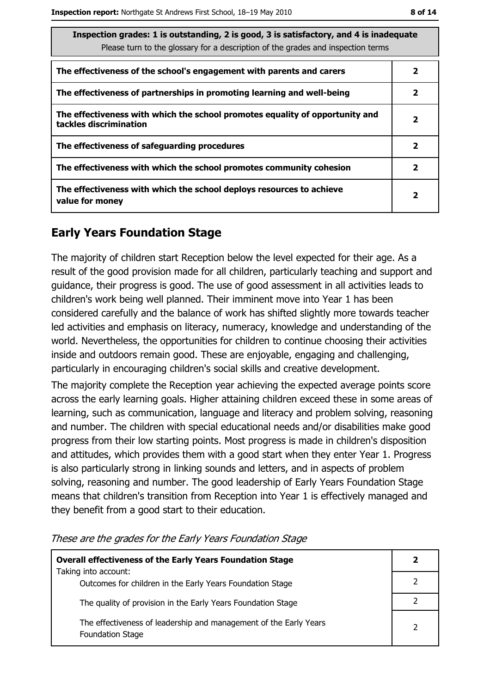| Inspection grades: 1 is outstanding, 2 is good, 3 is satisfactory, and 4 is inadequate<br>Please turn to the glossary for a description of the grades and inspection terms |                         |  |
|----------------------------------------------------------------------------------------------------------------------------------------------------------------------------|-------------------------|--|
| The effectiveness of the school's engagement with parents and carers                                                                                                       | 2                       |  |
| The effectiveness of partnerships in promoting learning and well-being                                                                                                     | $\mathbf{2}$            |  |
| The effectiveness with which the school promotes equality of opportunity and<br>tackles discrimination                                                                     | $\overline{2}$          |  |
| The effectiveness of safeguarding procedures                                                                                                                               | $\mathbf{2}$            |  |
| The effectiveness with which the school promotes community cohesion                                                                                                        | $\mathbf{2}$            |  |
| The effectiveness with which the school deploys resources to achieve<br>value for money                                                                                    | $\overline{\mathbf{2}}$ |  |

# **Early Years Foundation Stage**

The majority of children start Reception below the level expected for their age. As a result of the good provision made for all children, particularly teaching and support and quidance, their progress is good. The use of good assessment in all activities leads to children's work being well planned. Their imminent move into Year 1 has been considered carefully and the balance of work has shifted slightly more towards teacher led activities and emphasis on literacy, numeracy, knowledge and understanding of the world. Nevertheless, the opportunities for children to continue choosing their activities inside and outdoors remain good. These are enjoyable, engaging and challenging, particularly in encouraging children's social skills and creative development.

The majority complete the Reception year achieving the expected average points score across the early learning goals. Higher attaining children exceed these in some areas of learning, such as communication, language and literacy and problem solving, reasoning and number. The children with special educational needs and/or disabilities make good progress from their low starting points. Most progress is made in children's disposition and attitudes, which provides them with a good start when they enter Year 1. Progress is also particularly strong in linking sounds and letters, and in aspects of problem solving, reasoning and number. The good leadership of Early Years Foundation Stage means that children's transition from Reception into Year 1 is effectively managed and they benefit from a good start to their education.

| <b>Overall effectiveness of the Early Years Foundation Stage</b>                             |   |  |
|----------------------------------------------------------------------------------------------|---|--|
| Taking into account:<br>Outcomes for children in the Early Years Foundation Stage            |   |  |
| The quality of provision in the Early Years Foundation Stage                                 |   |  |
| The effectiveness of leadership and management of the Early Years<br><b>Foundation Stage</b> | っ |  |

These are the grades for the Early Years Foundation Stage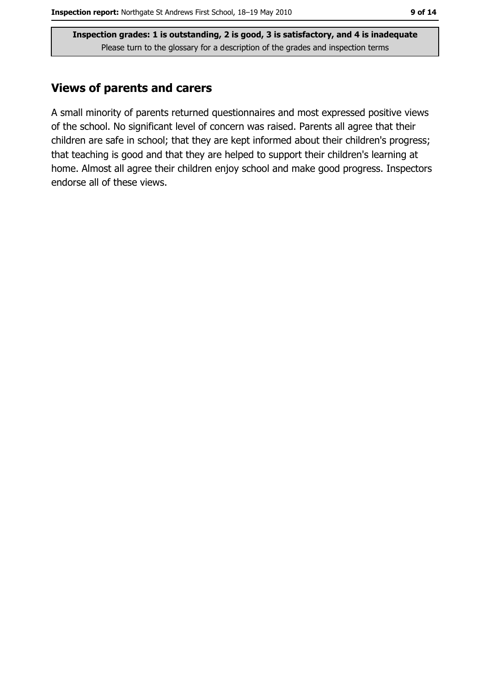## **Views of parents and carers**

A small minority of parents returned questionnaires and most expressed positive views of the school. No significant level of concern was raised. Parents all agree that their children are safe in school; that they are kept informed about their children's progress; that teaching is good and that they are helped to support their children's learning at home. Almost all agree their children enjoy school and make good progress. Inspectors endorse all of these views.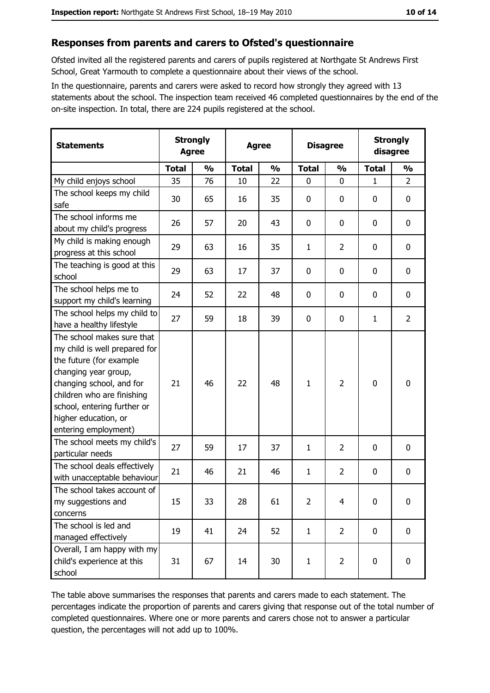#### Responses from parents and carers to Ofsted's questionnaire

Ofsted invited all the registered parents and carers of pupils registered at Northgate St Andrews First School, Great Yarmouth to complete a questionnaire about their views of the school.

In the questionnaire, parents and carers were asked to record how strongly they agreed with 13 statements about the school. The inspection team received 46 completed questionnaires by the end of the on-site inspection. In total, there are 224 pupils registered at the school.

| <b>Statements</b>                                                                                                                                                                                                                                       | <b>Strongly</b><br><b>Agree</b> |               | <b>Agree</b> |               |                | <b>Disagree</b> |              | <b>Strongly</b><br>disagree |  |
|---------------------------------------------------------------------------------------------------------------------------------------------------------------------------------------------------------------------------------------------------------|---------------------------------|---------------|--------------|---------------|----------------|-----------------|--------------|-----------------------------|--|
|                                                                                                                                                                                                                                                         | <b>Total</b>                    | $\frac{0}{0}$ | <b>Total</b> | $\frac{0}{0}$ | <b>Total</b>   | $\frac{0}{0}$   | <b>Total</b> | $\frac{0}{0}$               |  |
| My child enjoys school                                                                                                                                                                                                                                  | 35                              | 76            | 10           | 22            | $\mathbf 0$    | 0               | $\mathbf{1}$ | $\overline{2}$              |  |
| The school keeps my child<br>safe                                                                                                                                                                                                                       | 30                              | 65            | 16           | 35            | $\mathbf 0$    | 0               | 0            | $\mathbf 0$                 |  |
| The school informs me<br>about my child's progress                                                                                                                                                                                                      | 26                              | 57            | 20           | 43            | 0              | 0               | 0            | 0                           |  |
| My child is making enough<br>progress at this school                                                                                                                                                                                                    | 29                              | 63            | 16           | 35            | $\mathbf{1}$   | $\overline{2}$  | 0            | $\mathbf 0$                 |  |
| The teaching is good at this<br>school                                                                                                                                                                                                                  | 29                              | 63            | 17           | 37            | 0              | 0               | 0            | $\mathbf 0$                 |  |
| The school helps me to<br>support my child's learning                                                                                                                                                                                                   | 24                              | 52            | 22           | 48            | 0              | 0               | 0            | 0                           |  |
| The school helps my child to<br>have a healthy lifestyle                                                                                                                                                                                                | 27                              | 59            | 18           | 39            | $\mathbf 0$    | 0               | 1            | $\overline{2}$              |  |
| The school makes sure that<br>my child is well prepared for<br>the future (for example<br>changing year group,<br>changing school, and for<br>children who are finishing<br>school, entering further or<br>higher education, or<br>entering employment) | 21                              | 46            | 22           | 48            | $\mathbf{1}$   | $\overline{2}$  | 0            | $\mathbf 0$                 |  |
| The school meets my child's<br>particular needs                                                                                                                                                                                                         | 27                              | 59            | 17           | 37            | 1              | $\overline{2}$  | 0            | $\bf{0}$                    |  |
| The school deals effectively<br>with unacceptable behaviour                                                                                                                                                                                             | 21                              | 46            | 21           | 46            | $\mathbf{1}$   | $\overline{2}$  | 0            | 0                           |  |
| The school takes account of<br>my suggestions and<br>concerns                                                                                                                                                                                           | 15                              | 33            | 28           | 61            | $\overline{2}$ | 4               | $\mathbf 0$  | $\mathbf 0$                 |  |
| The school is led and<br>managed effectively                                                                                                                                                                                                            | 19                              | 41            | 24           | 52            | $\mathbf{1}$   | $\overline{2}$  | 0            | $\mathbf 0$                 |  |
| Overall, I am happy with my<br>child's experience at this<br>school                                                                                                                                                                                     | 31                              | 67            | 14           | 30            | $\mathbf{1}$   | $\overline{2}$  | 0            | 0                           |  |

The table above summarises the responses that parents and carers made to each statement. The percentages indicate the proportion of parents and carers giving that response out of the total number of completed questionnaires. Where one or more parents and carers chose not to answer a particular question, the percentages will not add up to 100%.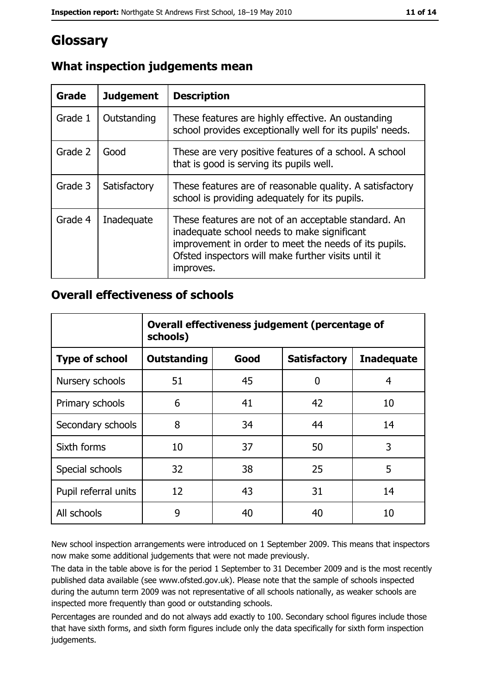# Glossary

| Grade   | <b>Judgement</b> | <b>Description</b>                                                                                                                                                                                                               |
|---------|------------------|----------------------------------------------------------------------------------------------------------------------------------------------------------------------------------------------------------------------------------|
| Grade 1 | Outstanding      | These features are highly effective. An oustanding<br>school provides exceptionally well for its pupils' needs.                                                                                                                  |
| Grade 2 | Good             | These are very positive features of a school. A school<br>that is good is serving its pupils well.                                                                                                                               |
| Grade 3 | Satisfactory     | These features are of reasonable quality. A satisfactory<br>school is providing adequately for its pupils.                                                                                                                       |
| Grade 4 | Inadequate       | These features are not of an acceptable standard. An<br>inadequate school needs to make significant<br>improvement in order to meet the needs of its pupils.<br>Ofsted inspectors will make further visits until it<br>improves. |

# What inspection judgements mean

## **Overall effectiveness of schools**

|                       | Overall effectiveness judgement (percentage of<br>schools) |      |                     |                   |  |
|-----------------------|------------------------------------------------------------|------|---------------------|-------------------|--|
| <b>Type of school</b> | <b>Outstanding</b>                                         | Good | <b>Satisfactory</b> | <b>Inadequate</b> |  |
| Nursery schools       | 51                                                         | 45   | 0                   | 4                 |  |
| Primary schools       | 6                                                          | 41   | 42                  | 10                |  |
| Secondary schools     | 8                                                          | 34   | 44                  | 14                |  |
| Sixth forms           | 10                                                         | 37   | 50                  | 3                 |  |
| Special schools       | 32                                                         | 38   | 25                  | 5                 |  |
| Pupil referral units  | 12                                                         | 43   | 31                  | 14                |  |
| All schools           | 9                                                          | 40   | 40                  | 10                |  |

New school inspection arrangements were introduced on 1 September 2009. This means that inspectors now make some additional judgements that were not made previously.

The data in the table above is for the period 1 September to 31 December 2009 and is the most recently published data available (see www.ofsted.gov.uk). Please note that the sample of schools inspected during the autumn term 2009 was not representative of all schools nationally, as weaker schools are inspected more frequently than good or outstanding schools.

Percentages are rounded and do not always add exactly to 100. Secondary school figures include those that have sixth forms, and sixth form figures include only the data specifically for sixth form inspection judgements.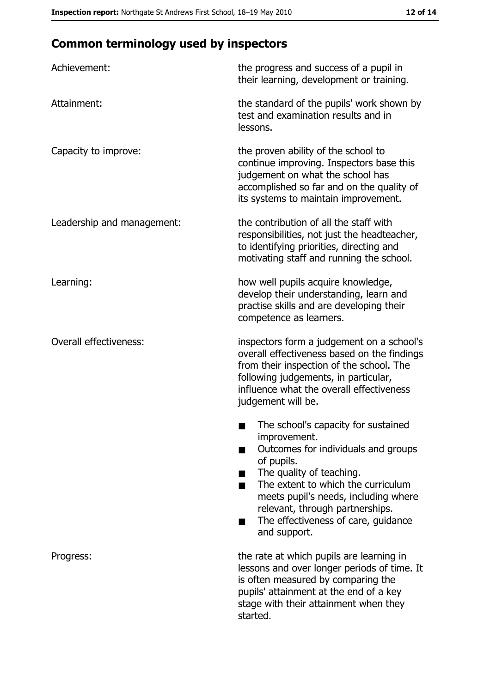# **Common terminology used by inspectors**

| Achievement:                  | the progress and success of a pupil in<br>their learning, development or training.                                                                                                                                                                                                                           |
|-------------------------------|--------------------------------------------------------------------------------------------------------------------------------------------------------------------------------------------------------------------------------------------------------------------------------------------------------------|
| Attainment:                   | the standard of the pupils' work shown by<br>test and examination results and in<br>lessons.                                                                                                                                                                                                                 |
| Capacity to improve:          | the proven ability of the school to<br>continue improving. Inspectors base this<br>judgement on what the school has<br>accomplished so far and on the quality of<br>its systems to maintain improvement.                                                                                                     |
| Leadership and management:    | the contribution of all the staff with<br>responsibilities, not just the headteacher,<br>to identifying priorities, directing and<br>motivating staff and running the school.                                                                                                                                |
| Learning:                     | how well pupils acquire knowledge,<br>develop their understanding, learn and<br>practise skills and are developing their<br>competence as learners.                                                                                                                                                          |
| <b>Overall effectiveness:</b> | inspectors form a judgement on a school's<br>overall effectiveness based on the findings<br>from their inspection of the school. The<br>following judgements, in particular,<br>influence what the overall effectiveness<br>judgement will be.                                                               |
|                               | The school's capacity for sustained<br>improvement.<br>Outcomes for individuals and groups<br>of pupils.<br>The quality of teaching.<br>The extent to which the curriculum<br>meets pupil's needs, including where<br>relevant, through partnerships.<br>The effectiveness of care, guidance<br>and support. |
| Progress:                     | the rate at which pupils are learning in<br>lessons and over longer periods of time. It<br>is often measured by comparing the<br>pupils' attainment at the end of a key<br>stage with their attainment when they<br>started.                                                                                 |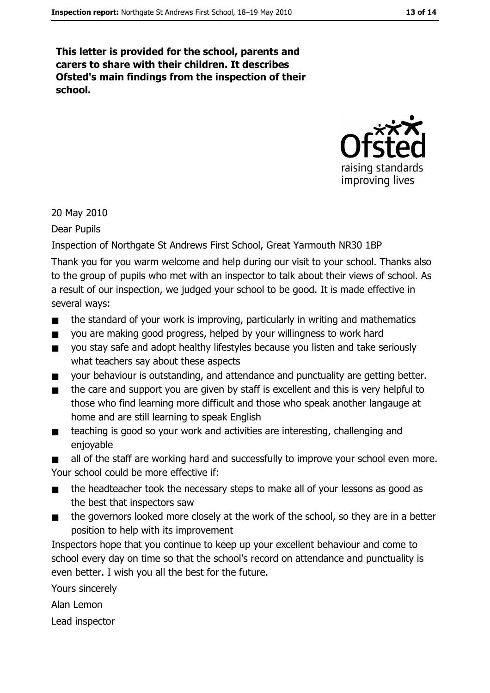This letter is provided for the school, parents and carers to share with their children. It describes Ofsted's main findings from the inspection of their school.



20 May 2010

Dear Pupils

Inspection of Northgate St Andrews First School, Great Yarmouth NR30 1BP

Thank you for you warm welcome and help during our visit to your school. Thanks also to the group of pupils who met with an inspector to talk about their views of school. As a result of our inspection, we judged your school to be good. It is made effective in several wavs:

- the standard of your work is improving, particularly in writing and mathematics  $\blacksquare$
- you are making good progress, helped by your willingness to work hard  $\blacksquare$
- you stay safe and adopt healthy lifestyles because you listen and take seriously  $\blacksquare$ what teachers say about these aspects
- your behaviour is outstanding, and attendance and punctuality are getting better.  $\blacksquare$
- the care and support you are given by staff is excellent and this is very helpful to  $\blacksquare$ those who find learning more difficult and those who speak another langauge at home and are still learning to speak English
- teaching is good so your work and activities are interesting, challenging and  $\blacksquare$ enjoyable

all of the staff are working hard and successfully to improve your school even more. Your school could be more effective if:

- the headteacher took the necessary steps to make all of your lessons as good as  $\blacksquare$ the best that inspectors saw
- $\blacksquare$ the governors looked more closely at the work of the school, so they are in a better position to help with its improvement

Inspectors hope that you continue to keep up your excellent behaviour and come to school every day on time so that the school's record on attendance and punctuality is even better. I wish you all the best for the future.

Yours sincerely

Alan Lemon

Lead inspector